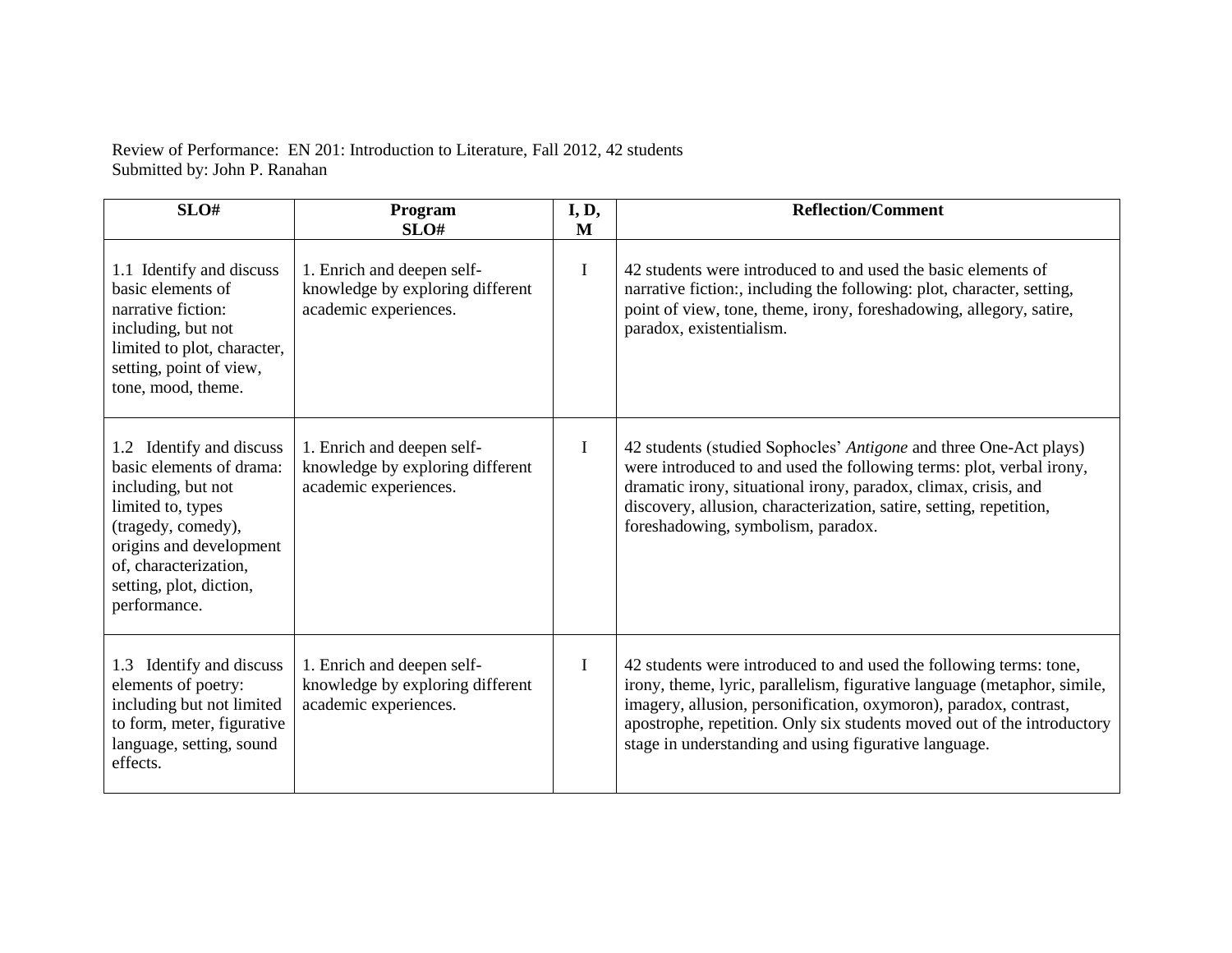Review of Performance: EN 201: Introduction to Literature, Fall 2012, 42 students Submitted by: John P. Ranahan

| SLO#                                                                                                                                                                                                                 | Program<br>SLO#                                                                         | I, D,<br>M   | <b>Reflection/Comment</b>                                                                                                                                                                                                                                                                                                                               |  |
|----------------------------------------------------------------------------------------------------------------------------------------------------------------------------------------------------------------------|-----------------------------------------------------------------------------------------|--------------|---------------------------------------------------------------------------------------------------------------------------------------------------------------------------------------------------------------------------------------------------------------------------------------------------------------------------------------------------------|--|
| 1.1 Identify and discuss<br>basic elements of<br>narrative fiction:<br>including, but not<br>limited to plot, character,<br>setting, point of view,<br>tone, mood, theme.                                            | 1. Enrich and deepen self-<br>knowledge by exploring different<br>academic experiences. | $\mathbf I$  | 42 students were introduced to and used the basic elements of<br>narrative fiction:, including the following: plot, character, setting,<br>point of view, tone, theme, irony, foreshadowing, allegory, satire,<br>paradox, existentialism.                                                                                                              |  |
| 1.2 Identify and discuss<br>basic elements of drama:<br>including, but not<br>limited to, types<br>(tragedy, comedy),<br>origins and development<br>of, characterization,<br>setting, plot, diction,<br>performance. | 1. Enrich and deepen self-<br>knowledge by exploring different<br>academic experiences. | $\mathbf{I}$ | 42 students (studied Sophocles' Antigone and three One-Act plays)<br>were introduced to and used the following terms: plot, verbal irony,<br>dramatic irony, situational irony, paradox, climax, crisis, and<br>discovery, allusion, characterization, satire, setting, repetition,<br>foreshadowing, symbolism, paradox.                               |  |
| 1.3 Identify and discuss<br>elements of poetry:<br>including but not limited<br>to form, meter, figurative<br>language, setting, sound<br>effects.                                                                   | 1. Enrich and deepen self-<br>knowledge by exploring different<br>academic experiences. | $\mathbf{I}$ | 42 students were introduced to and used the following terms: tone,<br>irony, theme, lyric, parallelism, figurative language (metaphor, simile,<br>imagery, allusion, personification, oxymoron), paradox, contrast,<br>apostrophe, repetition. Only six students moved out of the introductory<br>stage in understanding and using figurative language. |  |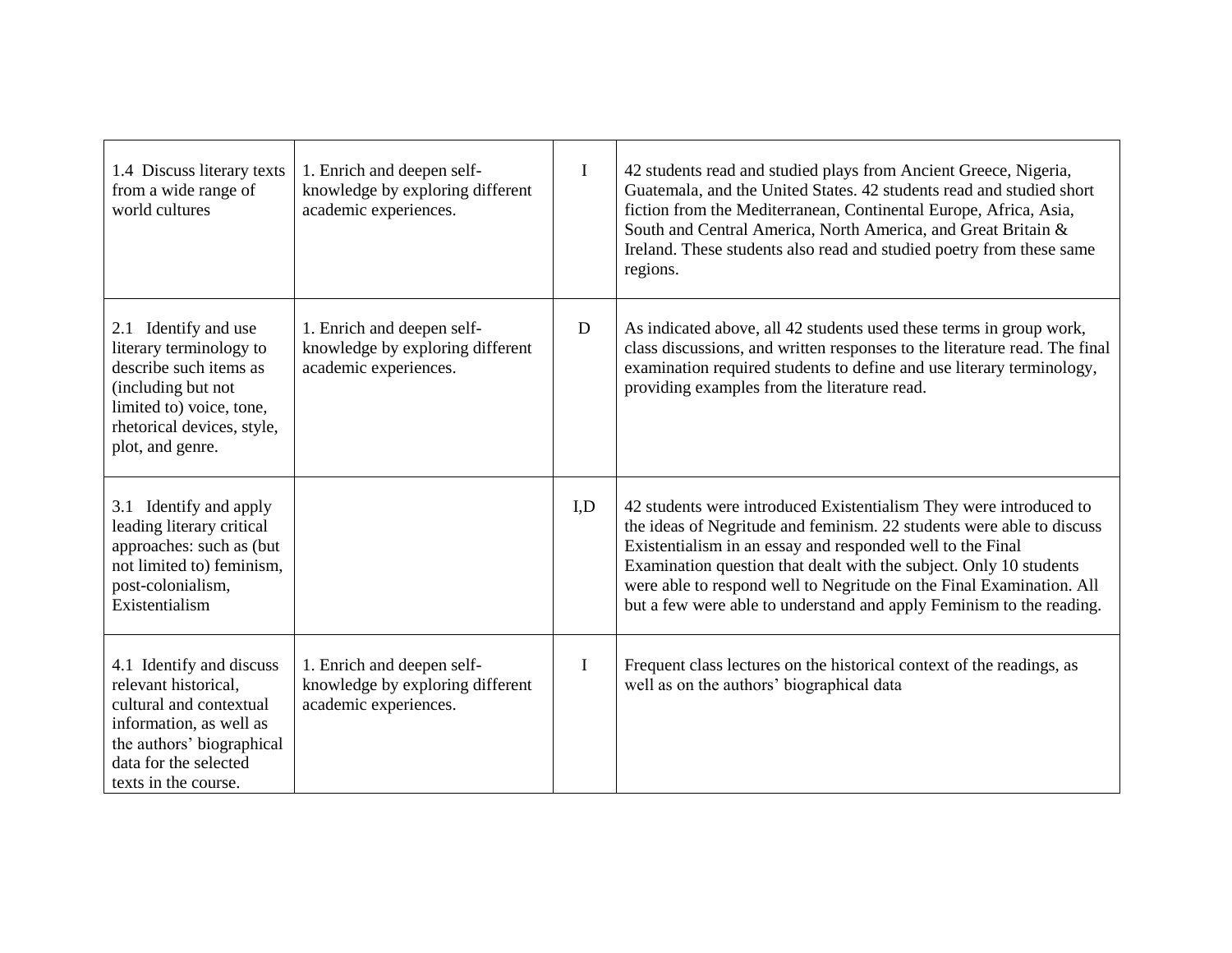| 1.4 Discuss literary texts<br>from a wide range of<br>world cultures                                                                                                                 | 1. Enrich and deepen self-<br>knowledge by exploring different<br>academic experiences. | I           | 42 students read and studied plays from Ancient Greece, Nigeria,<br>Guatemala, and the United States. 42 students read and studied short<br>fiction from the Mediterranean, Continental Europe, Africa, Asia,<br>South and Central America, North America, and Great Britain &<br>Ireland. These students also read and studied poetry from these same<br>regions.                                                              |
|--------------------------------------------------------------------------------------------------------------------------------------------------------------------------------------|-----------------------------------------------------------------------------------------|-------------|---------------------------------------------------------------------------------------------------------------------------------------------------------------------------------------------------------------------------------------------------------------------------------------------------------------------------------------------------------------------------------------------------------------------------------|
| 2.1 Identify and use<br>literary terminology to<br>describe such items as<br>(including but not<br>limited to) voice, tone,<br>rhetorical devices, style,<br>plot, and genre.        | 1. Enrich and deepen self-<br>knowledge by exploring different<br>academic experiences. | D           | As indicated above, all 42 students used these terms in group work,<br>class discussions, and written responses to the literature read. The final<br>examination required students to define and use literary terminology,<br>providing examples from the literature read.                                                                                                                                                      |
| 3.1 Identify and apply<br>leading literary critical<br>approaches: such as (but<br>not limited to) feminism,<br>post-colonialism,<br>Existentialism                                  |                                                                                         | I,D         | 42 students were introduced Existentialism They were introduced to<br>the ideas of Negritude and feminism. 22 students were able to discuss<br>Existentialism in an essay and responded well to the Final<br>Examination question that dealt with the subject. Only 10 students<br>were able to respond well to Negritude on the Final Examination. All<br>but a few were able to understand and apply Feminism to the reading. |
| 4.1 Identify and discuss<br>relevant historical,<br>cultural and contextual<br>information, as well as<br>the authors' biographical<br>data for the selected<br>texts in the course. | 1. Enrich and deepen self-<br>knowledge by exploring different<br>academic experiences. | $\mathbf I$ | Frequent class lectures on the historical context of the readings, as<br>well as on the authors' biographical data                                                                                                                                                                                                                                                                                                              |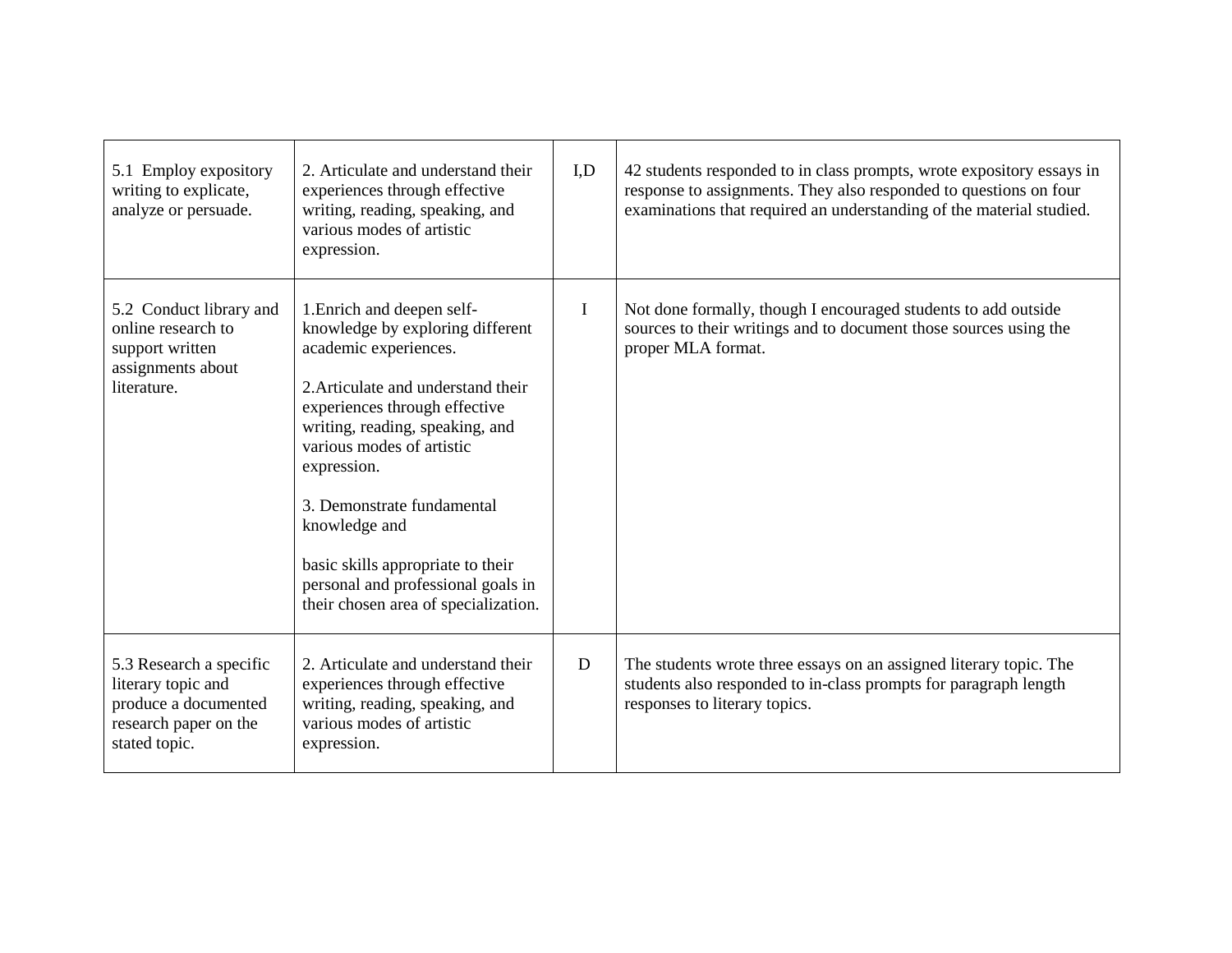| 5.1 Employ expository<br>writing to explicate,<br>analyze or persuade.                                          | 2. Articulate and understand their<br>experiences through effective<br>writing, reading, speaking, and<br>various modes of artistic<br>expression.                                                                                                                                                                                                                                                              | I.D | 42 students responded to in class prompts, wrote expository essays in<br>response to assignments. They also responded to questions on four<br>examinations that required an understanding of the material studied. |
|-----------------------------------------------------------------------------------------------------------------|-----------------------------------------------------------------------------------------------------------------------------------------------------------------------------------------------------------------------------------------------------------------------------------------------------------------------------------------------------------------------------------------------------------------|-----|--------------------------------------------------------------------------------------------------------------------------------------------------------------------------------------------------------------------|
| 5.2 Conduct library and<br>online research to<br>support written<br>assignments about<br>literature.            | 1. Enrich and deepen self-<br>knowledge by exploring different<br>academic experiences.<br>2. Articulate and understand their<br>experiences through effective<br>writing, reading, speaking, and<br>various modes of artistic<br>expression.<br>3. Demonstrate fundamental<br>knowledge and<br>basic skills appropriate to their<br>personal and professional goals in<br>their chosen area of specialization. | I   | Not done formally, though I encouraged students to add outside<br>sources to their writings and to document those sources using the<br>proper MLA format.                                                          |
| 5.3 Research a specific<br>literary topic and<br>produce a documented<br>research paper on the<br>stated topic. | 2. Articulate and understand their<br>experiences through effective<br>writing, reading, speaking, and<br>various modes of artistic<br>expression.                                                                                                                                                                                                                                                              | D   | The students wrote three essays on an assigned literary topic. The<br>students also responded to in-class prompts for paragraph length<br>responses to literary topics.                                            |